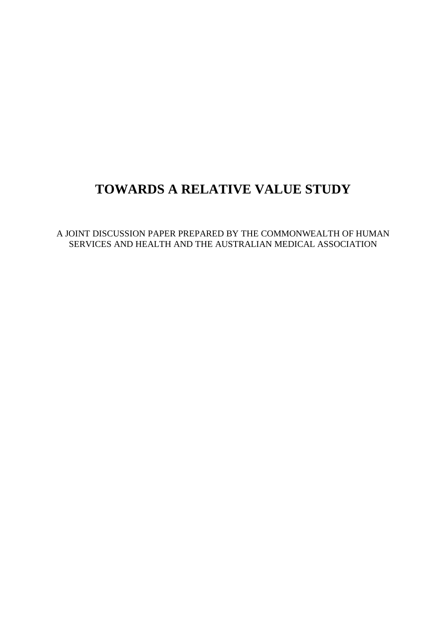# **TOWARDS A RELATIVE VALUE STUDY**

A JOINT DISCUSSION PAPER PREPARED BY THE COMMONWEALTH OF HUMAN SERVICES AND HEALTH AND THE AUSTRALIAN MEDICAL ASSOCIATION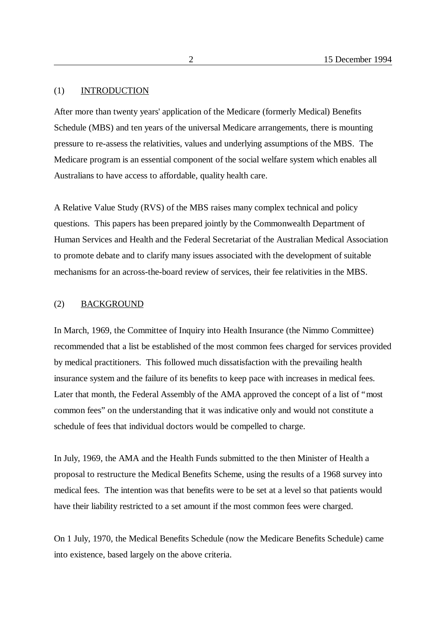### (1) INTRODUCTION

After more than twenty years' application of the Medicare (formerly Medical) Benefits Schedule (MBS) and ten years of the universal Medicare arrangements, there is mounting pressure to re-assess the relativities, values and underlying assumptions of the MBS. The Medicare program is an essential component of the social welfare system which enables all Australians to have access to affordable, quality health care.

A Relative Value Study (RVS) of the MBS raises many complex technical and policy questions. This papers has been prepared jointly by the Commonwealth Department of Human Services and Health and the Federal Secretariat of the Australian Medical Association to promote debate and to clarify many issues associated with the development of suitable mechanisms for an across-the-board review of services, their fee relativities in the MBS.

#### (2) BACKGROUND

In March, 1969, the Committee of Inquiry into Health Insurance (the Nimmo Committee) recommended that a list be established of the most common fees charged for services provided by medical practitioners. This followed much dissatisfaction with the prevailing health insurance system and the failure of its benefits to keep pace with increases in medical fees. Later that month, the Federal Assembly of the AMA approved the concept of a list of "most common fees" on the understanding that it was indicative only and would not constitute a schedule of fees that individual doctors would be compelled to charge.

In July, 1969, the AMA and the Health Funds submitted to the then Minister of Health a proposal to restructure the Medical Benefits Scheme, using the results of a 1968 survey into medical fees. The intention was that benefits were to be set at a level so that patients would have their liability restricted to a set amount if the most common fees were charged.

On 1 July, 1970, the Medical Benefits Schedule (now the Medicare Benefits Schedule) came into existence, based largely on the above criteria.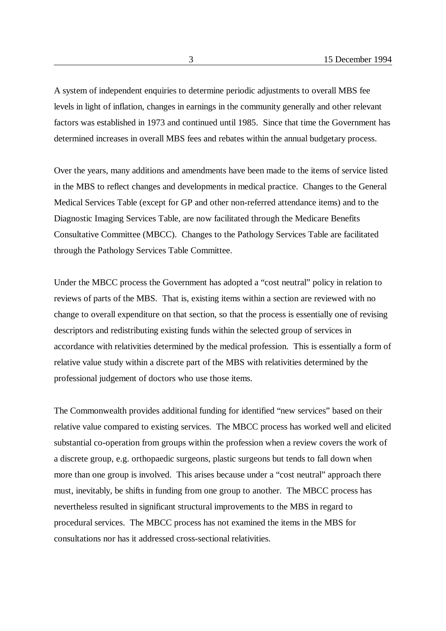A system of independent enquiries to determine periodic adjustments to overall MBS fee levels in light of inflation, changes in earnings in the community generally and other relevant factors was established in 1973 and continued until 1985. Since that time the Government has determined increases in overall MBS fees and rebates within the annual budgetary process.

Over the years, many additions and amendments have been made to the items of service listed in the MBS to reflect changes and developments in medical practice. Changes to the General Medical Services Table (except for GP and other non-referred attendance items) and to the Diagnostic Imaging Services Table, are now facilitated through the Medicare Benefits Consultative Committee (MBCC). Changes to the Pathology Services Table are facilitated through the Pathology Services Table Committee.

Under the MBCC process the Government has adopted a "cost neutral" policy in relation to reviews of parts of the MBS. That is, existing items within a section are reviewed with no change to overall expenditure on that section, so that the process is essentially one of revising descriptors and redistributing existing funds within the selected group of services in accordance with relativities determined by the medical profession. This is essentially a form of relative value study within a discrete part of the MBS with relativities determined by the professional judgement of doctors who use those items.

The Commonwealth provides additional funding for identified "new services" based on their relative value compared to existing services. The MBCC process has worked well and elicited substantial co-operation from groups within the profession when a review covers the work of a discrete group, e.g. orthopaedic surgeons, plastic surgeons but tends to fall down when more than one group is involved. This arises because under a "cost neutral" approach there must, inevitably, be shifts in funding from one group to another. The MBCC process has nevertheless resulted in significant structural improvements to the MBS in regard to procedural services. The MBCC process has not examined the items in the MBS for consultations nor has it addressed cross-sectional relativities.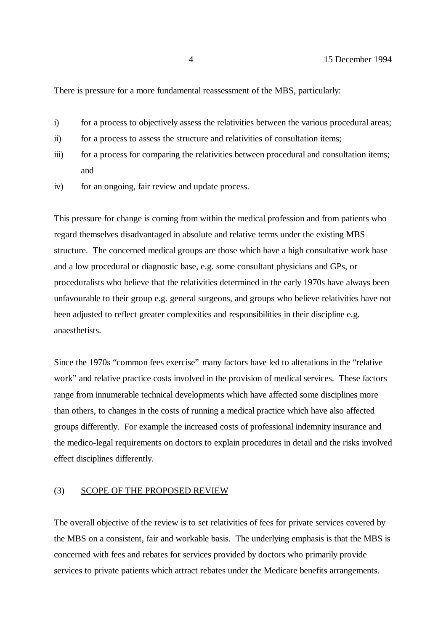There is pressure for a more fundamental reassessment of the MBS, particularly:

- i) for a process to objectively assess the relativities between the various procedural areas;
- ii) for a process to assess the structure and relativities of consultation items;
- iii) for a process for comparing the relativities between procedural and consultation items; and
- iv) for an ongoing, fair review and update process.

This pressure for change is coming from within the medical profession and from patients who regard themselves disadvantaged in absolute and relative terms under the existing MBS structure. The concerned medical groups are those which have a high consultative work base and a low procedural or diagnostic base, e.g. some consultant physicians and GPs, or proceduralists who believe that the relativities determined in the early 1970s have always been unfavourable to their group e.g. general surgeons, and groups who believe relativities have not been adjusted to reflect greater complexities and responsibilities in their discipline e.g. anaesthetists.

Since the 1970s "common fees exercise" many factors have led to alterations in the "relative work" and relative practice costs involved in the provision of medical services. These factors range from innumerable technical developments which have affected some disciplines more than others, to changes in the costs of running a medical practice which have also affected groups differently. For example the increased costs of professional indemnity insurance and the medico-legal requirements on doctors to explain procedures in detail and the risks involved effect disciplines differently.

### (3) SCOPE OF THE PROPOSED REVIEW

The overall objective of the review is to set relativities of fees for private services covered by the MBS on a consistent, fair and workable basis. The underlying emphasis is that the MBS is concerned with fees and rebates for services provided by doctors who primarily provide services to private patients which attract rebates under the Medicare benefits arrangements.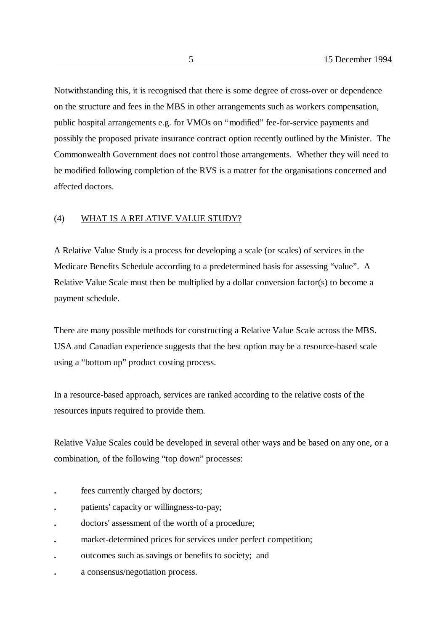Notwithstanding this, it is recognised that there is some degree of cross-over or dependence on the structure and fees in the MBS in other arrangements such as workers compensation, public hospital arrangements e.g. for VMOs on "modified" fee-for-service payments and possibly the proposed private insurance contract option recently outlined by the Minister. The Commonwealth Government does not control those arrangements. Whether they will need to be modified following completion of the RVS is a matter for the organisations concerned and affected doctors.

## (4) WHAT IS A RELATIVE VALUE STUDY?

A Relative Value Study is a process for developing a scale (or scales) of services in the Medicare Benefits Schedule according to a predetermined basis for assessing "value". A Relative Value Scale must then be multiplied by a dollar conversion factor(s) to become a payment schedule.

There are many possible methods for constructing a Relative Value Scale across the MBS. USA and Canadian experience suggests that the best option may be a resource-based scale using a "bottom up" product costing process.

In a resource-based approach, services are ranked according to the relative costs of the resources inputs required to provide them.

Relative Value Scales could be developed in several other ways and be based on any one, or a combination, of the following "top down" processes:

- **.** fees currently charged by doctors;
- **.** patients' capacity or willingness-to-pay;
- **.** doctors' assessment of the worth of a procedure;
- **.** market-determined prices for services under perfect competition;
- **.** outcomes such as savings or benefits to society; and
- **.** a consensus/negotiation process.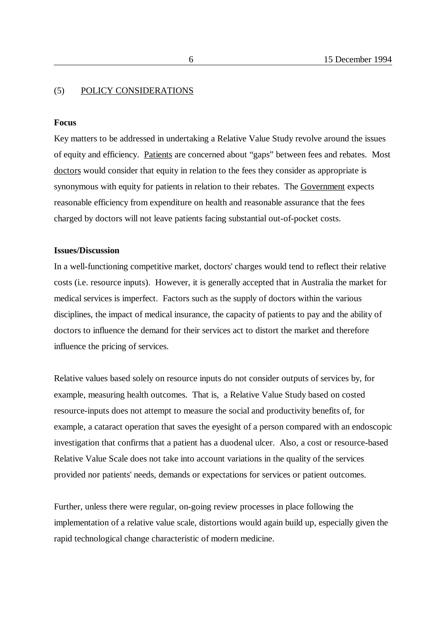## (5) POLICY CONSIDERATIONS

### **Focus**

Key matters to be addressed in undertaking a Relative Value Study revolve around the issues of equity and efficiency. Patients are concerned about "gaps" between fees and rebates. Most doctors would consider that equity in relation to the fees they consider as appropriate is synonymous with equity for patients in relation to their rebates. The Government expects reasonable efficiency from expenditure on health and reasonable assurance that the fees charged by doctors will not leave patients facing substantial out-of-pocket costs.

## **Issues/Discussion**

In a well-functioning competitive market, doctors' charges would tend to reflect their relative costs (i.e. resource inputs). However, it is generally accepted that in Australia the market for medical services is imperfect. Factors such as the supply of doctors within the various disciplines, the impact of medical insurance, the capacity of patients to pay and the ability of doctors to influence the demand for their services act to distort the market and therefore influence the pricing of services.

Relative values based solely on resource inputs do not consider outputs of services by, for example, measuring health outcomes. That is, a Relative Value Study based on costed resource-inputs does not attempt to measure the social and productivity benefits of, for example, a cataract operation that saves the eyesight of a person compared with an endoscopic investigation that confirms that a patient has a duodenal ulcer. Also, a cost or resource-based Relative Value Scale does not take into account variations in the quality of the services provided nor patients' needs, demands or expectations for services or patient outcomes.

Further, unless there were regular, on-going review processes in place following the implementation of a relative value scale, distortions would again build up, especially given the rapid technological change characteristic of modern medicine.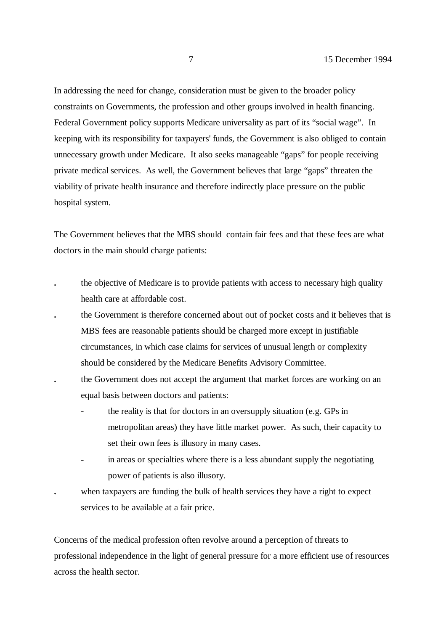In addressing the need for change, consideration must be given to the broader policy constraints on Governments, the profession and other groups involved in health financing. Federal Government policy supports Medicare universality as part of its "social wage". In keeping with its responsibility for taxpayers' funds, the Government is also obliged to contain unnecessary growth under Medicare. It also seeks manageable "gaps" for people receiving private medical services. As well, the Government believes that large "gaps" threaten the viability of private health insurance and therefore indirectly place pressure on the public hospital system.

The Government believes that the MBS should contain fair fees and that these fees are what doctors in the main should charge patients:

- **.** the objective of Medicare is to provide patients with access to necessary high quality health care at affordable cost.
- **.** the Government is therefore concerned about out of pocket costs and it believes that is MBS fees are reasonable patients should be charged more except in justifiable circumstances, in which case claims for services of unusual length or complexity should be considered by the Medicare Benefits Advisory Committee.
- **.** the Government does not accept the argument that market forces are working on an equal basis between doctors and patients:
	- **-** the reality is that for doctors in an oversupply situation (e.g. GPs in metropolitan areas) they have little market power. As such, their capacity to set their own fees is illusory in many cases.
	- **-** in areas or specialties where there is a less abundant supply the negotiating power of patients is also illusory.
	- **.** when taxpayers are funding the bulk of health services they have a right to expect services to be available at a fair price.

Concerns of the medical profession often revolve around a perception of threats to professional independence in the light of general pressure for a more efficient use of resources across the health sector.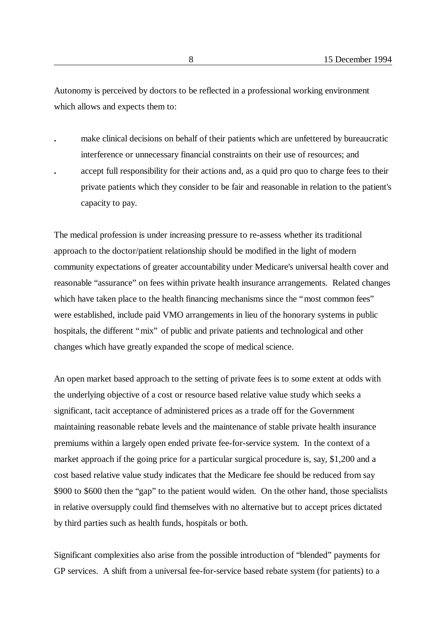Autonomy is perceived by doctors to be reflected in a professional working environment which allows and expects them to:

- **.** make clinical decisions on behalf of their patients which are unfettered by bureaucratic interference or unnecessary financial constraints on their use of resources; and
- **.** accept full responsibility for their actions and, as a quid pro quo to charge fees to their private patients which they consider to be fair and reasonable in relation to the patient's capacity to pay.

The medical profession is under increasing pressure to re-assess whether its traditional approach to the doctor/patient relationship should be modified in the light of modern community expectations of greater accountability under Medicare's universal health cover and reasonable "assurance" on fees within private health insurance arrangements. Related changes which have taken place to the health financing mechanisms since the "most common fees" were established, include paid VMO arrangements in lieu of the honorary systems in public hospitals, the different "mix" of public and private patients and technological and other changes which have greatly expanded the scope of medical science.

An open market based approach to the setting of private fees is to some extent at odds with the underlying objective of a cost or resource based relative value study which seeks a significant, tacit acceptance of administered prices as a trade off for the Government maintaining reasonable rebate levels and the maintenance of stable private health insurance premiums within a largely open ended private fee-for-service system. In the context of a market approach if the going price for a particular surgical procedure is, say, \$1,200 and a cost based relative value study indicates that the Medicare fee should be reduced from say \$900 to \$600 then the "gap" to the patient would widen. On the other hand, those specialists in relative oversupply could find themselves with no alternative but to accept prices dictated by third parties such as health funds, hospitals or both.

Significant complexities also arise from the possible introduction of "blended" payments for GP services. A shift from a universal fee-for-service based rebate system (for patients) to a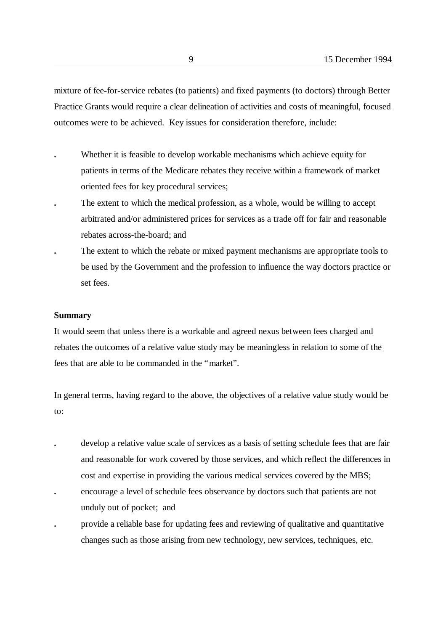mixture of fee-for-service rebates (to patients) and fixed payments (to doctors) through Better Practice Grants would require a clear delineation of activities and costs of meaningful, focused outcomes were to be achieved. Key issues for consideration therefore, include:

- **.** Whether it is feasible to develop workable mechanisms which achieve equity for patients in terms of the Medicare rebates they receive within a framework of market oriented fees for key procedural services;
- **.** The extent to which the medical profession, as a whole, would be willing to accept arbitrated and/or administered prices for services as a trade off for fair and reasonable rebates across-the-board; and
- **.** The extent to which the rebate or mixed payment mechanisms are appropriate tools to be used by the Government and the profession to influence the way doctors practice or set fees.

#### **Summary**

It would seem that unless there is a workable and agreed nexus between fees charged and rebates the outcomes of a relative value study may be meaningless in relation to some of the fees that are able to be commanded in the "market".

In general terms, having regard to the above, the objectives of a relative value study would be to:

- **.** develop a relative value scale of services as a basis of setting schedule fees that are fair and reasonable for work covered by those services, and which reflect the differences in cost and expertise in providing the various medical services covered by the MBS;
- **.** encourage a level of schedule fees observance by doctors such that patients are not unduly out of pocket; and
- **.** provide a reliable base for updating fees and reviewing of qualitative and quantitative changes such as those arising from new technology, new services, techniques, etc.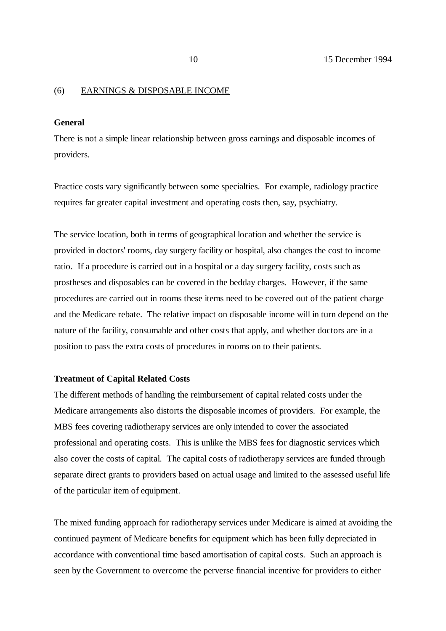#### (6) EARNINGS & DISPOSABLE INCOME

#### **General**

There is not a simple linear relationship between gross earnings and disposable incomes of providers.

Practice costs vary significantly between some specialties. For example, radiology practice requires far greater capital investment and operating costs then, say, psychiatry.

The service location, both in terms of geographical location and whether the service is provided in doctors' rooms, day surgery facility or hospital, also changes the cost to income ratio. If a procedure is carried out in a hospital or a day surgery facility, costs such as prostheses and disposables can be covered in the bedday charges. However, if the same procedures are carried out in rooms these items need to be covered out of the patient charge and the Medicare rebate. The relative impact on disposable income will in turn depend on the nature of the facility, consumable and other costs that apply, and whether doctors are in a position to pass the extra costs of procedures in rooms on to their patients.

#### **Treatment of Capital Related Costs**

The different methods of handling the reimbursement of capital related costs under the Medicare arrangements also distorts the disposable incomes of providers. For example, the MBS fees covering radiotherapy services are only intended to cover the associated professional and operating costs. This is unlike the MBS fees for diagnostic services which also cover the costs of capital. The capital costs of radiotherapy services are funded through separate direct grants to providers based on actual usage and limited to the assessed useful life of the particular item of equipment.

The mixed funding approach for radiotherapy services under Medicare is aimed at avoiding the continued payment of Medicare benefits for equipment which has been fully depreciated in accordance with conventional time based amortisation of capital costs. Such an approach is seen by the Government to overcome the perverse financial incentive for providers to either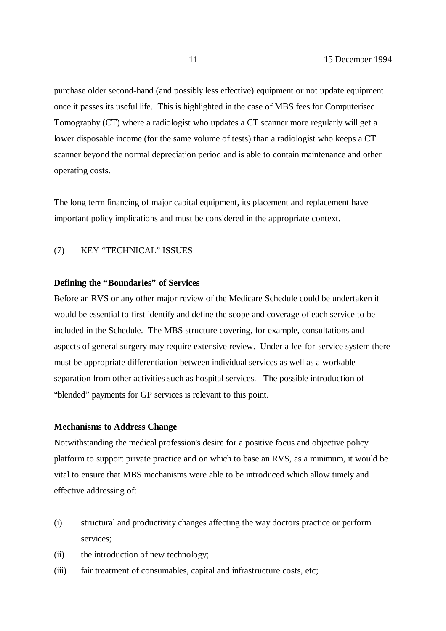purchase older second-hand (and possibly less effective) equipment or not update equipment once it passes its useful life. This is highlighted in the case of MBS fees for Computerised Tomography (CT) where a radiologist who updates a CT scanner more regularly will get a lower disposable income (for the same volume of tests) than a radiologist who keeps a CT scanner beyond the normal depreciation period and is able to contain maintenance and other operating costs.

The long term financing of major capital equipment, its placement and replacement have important policy implications and must be considered in the appropriate context.

#### (7) KEY "TECHNICAL" ISSUES

## **Defining the "Boundaries" of Services**

Before an RVS or any other major review of the Medicare Schedule could be undertaken it would be essential to first identify and define the scope and coverage of each service to be included in the Schedule. The MBS structure covering, for example, consultations and aspects of general surgery may require extensive review. Under a fee-for-service system there must be appropriate differentiation between individual services as well as a workable separation from other activities such as hospital services. The possible introduction of "blended" payments for GP services is relevant to this point.

#### **Mechanisms to Address Change**

Notwithstanding the medical profession's desire for a positive focus and objective policy platform to support private practice and on which to base an RVS, as a minimum, it would be vital to ensure that MBS mechanisms were able to be introduced which allow timely and effective addressing of:

- (i) structural and productivity changes affecting the way doctors practice or perform services;
- (ii) the introduction of new technology;
- (iii) fair treatment of consumables, capital and infrastructure costs, etc;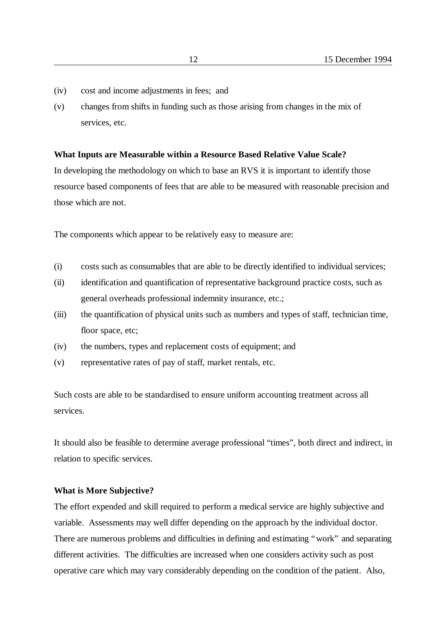- (iv) cost and income adjustments in fees; and
- (v) changes from shifts in funding such as those arising from changes in the mix of services, etc.

#### **What Inputs are Measurable within a Resource Based Relative Value Scale?**

In developing the methodology on which to base an RVS it is important to identify those resource based components of fees that are able to be measured with reasonable precision and those which are not.

The components which appear to be relatively easy to measure are:

- (i) costs such as consumables that are able to be directly identified to individual services;
- (ii) identification and quantification of representative background practice costs, such as general overheads professional indemnity insurance, etc.;
- (iii) the quantification of physical units such as numbers and types of staff, technician time, floor space, etc;
- (iv) the numbers, types and replacement costs of equipment; and
- (v) representative rates of pay of staff, market rentals, etc.

Such costs are able to be standardised to ensure uniform accounting treatment across all services.

It should also be feasible to determine average professional "times", both direct and indirect, in relation to specific services.

#### **What is More Subjective?**

The effort expended and skill required to perform a medical service are highly subjective and variable. Assessments may well differ depending on the approach by the individual doctor. There are numerous problems and difficulties in defining and estimating "work" and separating different activities. The difficulties are increased when one considers activity such as post operative care which may vary considerably depending on the condition of the patient. Also,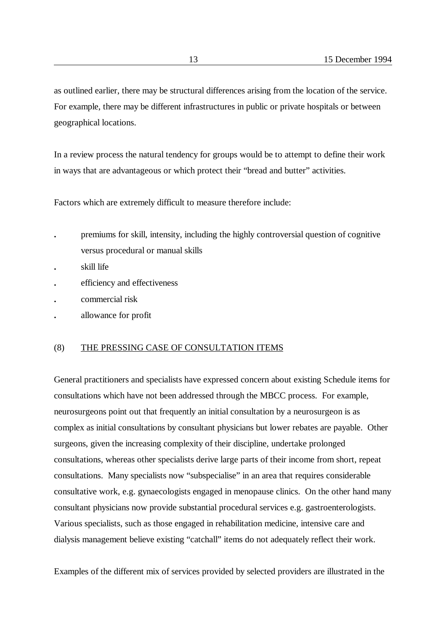as outlined earlier, there may be structural differences arising from the location of the service. For example, there may be different infrastructures in public or private hospitals or between geographical locations.

In a review process the natural tendency for groups would be to attempt to define their work in ways that are advantageous or which protect their "bread and butter" activities.

Factors which are extremely difficult to measure therefore include:

- **.** premiums for skill, intensity, including the highly controversial question of cognitive versus procedural or manual skills
- **.** skill life
- **.** efficiency and effectiveness
- **.** commercial risk
- **.** allowance for profit

### (8) THE PRESSING CASE OF CONSULTATION ITEMS

General practitioners and specialists have expressed concern about existing Schedule items for consultations which have not been addressed through the MBCC process. For example, neurosurgeons point out that frequently an initial consultation by a neurosurgeon is as complex as initial consultations by consultant physicians but lower rebates are payable. Other surgeons, given the increasing complexity of their discipline, undertake prolonged consultations, whereas other specialists derive large parts of their income from short, repeat consultations. Many specialists now "subspecialise" in an area that requires considerable consultative work, e.g. gynaecologists engaged in menopause clinics. On the other hand many consultant physicians now provide substantial procedural services e.g. gastroenterologists. Various specialists, such as those engaged in rehabilitation medicine, intensive care and dialysis management believe existing "catchall" items do not adequately reflect their work.

Examples of the different mix of services provided by selected providers are illustrated in the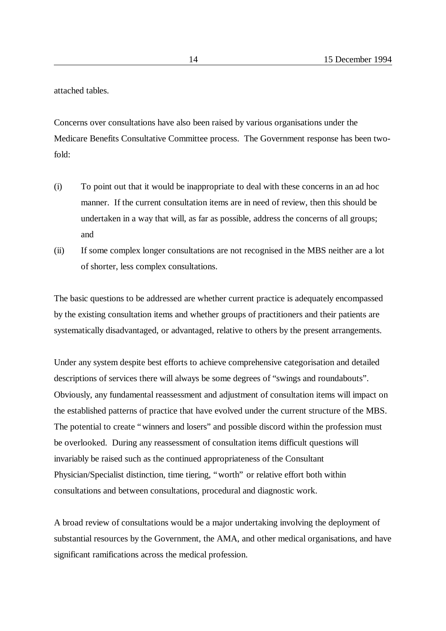attached tables.

Concerns over consultations have also been raised by various organisations under the Medicare Benefits Consultative Committee process. The Government response has been twofold:

- (i) To point out that it would be inappropriate to deal with these concerns in an ad hoc manner. If the current consultation items are in need of review, then this should be undertaken in a way that will, as far as possible, address the concerns of all groups; and
- (ii) If some complex longer consultations are not recognised in the MBS neither are a lot of shorter, less complex consultations.

The basic questions to be addressed are whether current practice is adequately encompassed by the existing consultation items and whether groups of practitioners and their patients are systematically disadvantaged, or advantaged, relative to others by the present arrangements.

Under any system despite best efforts to achieve comprehensive categorisation and detailed descriptions of services there will always be some degrees of "swings and roundabouts". Obviously, any fundamental reassessment and adjustment of consultation items will impact on the established patterns of practice that have evolved under the current structure of the MBS. The potential to create "winners and losers" and possible discord within the profession must be overlooked. During any reassessment of consultation items difficult questions will invariably be raised such as the continued appropriateness of the Consultant Physician/Specialist distinction, time tiering, "worth" or relative effort both within consultations and between consultations, procedural and diagnostic work.

A broad review of consultations would be a major undertaking involving the deployment of substantial resources by the Government, the AMA, and other medical organisations, and have significant ramifications across the medical profession.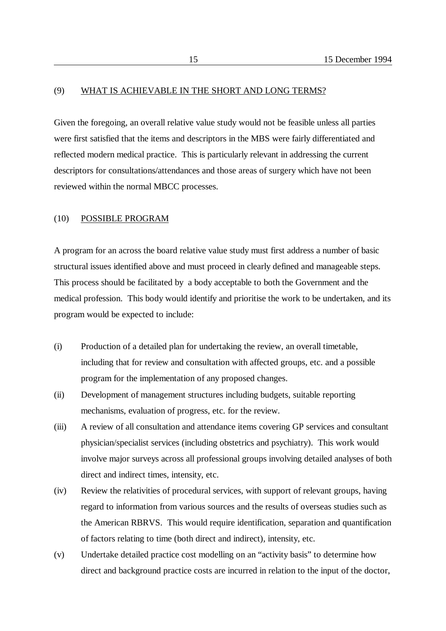### (9) WHAT IS ACHIEVABLE IN THE SHORT AND LONG TERMS?

Given the foregoing, an overall relative value study would not be feasible unless all parties were first satisfied that the items and descriptors in the MBS were fairly differentiated and reflected modern medical practice. This is particularly relevant in addressing the current descriptors for consultations/attendances and those areas of surgery which have not been reviewed within the normal MBCC processes.

#### (10) POSSIBLE PROGRAM

A program for an across the board relative value study must first address a number of basic structural issues identified above and must proceed in clearly defined and manageable steps. This process should be facilitated by a body acceptable to both the Government and the medical profession. This body would identify and prioritise the work to be undertaken, and its program would be expected to include:

- (i) Production of a detailed plan for undertaking the review, an overall timetable, including that for review and consultation with affected groups, etc. and a possible program for the implementation of any proposed changes.
- (ii) Development of management structures including budgets, suitable reporting mechanisms, evaluation of progress, etc. for the review.
- (iii) A review of all consultation and attendance items covering GP services and consultant physician/specialist services (including obstetrics and psychiatry). This work would involve major surveys across all professional groups involving detailed analyses of both direct and indirect times, intensity, etc.
- (iv) Review the relativities of procedural services, with support of relevant groups, having regard to information from various sources and the results of overseas studies such as the American RBRVS. This would require identification, separation and quantification of factors relating to time (both direct and indirect), intensity, etc.
- (v) Undertake detailed practice cost modelling on an "activity basis" to determine how direct and background practice costs are incurred in relation to the input of the doctor,